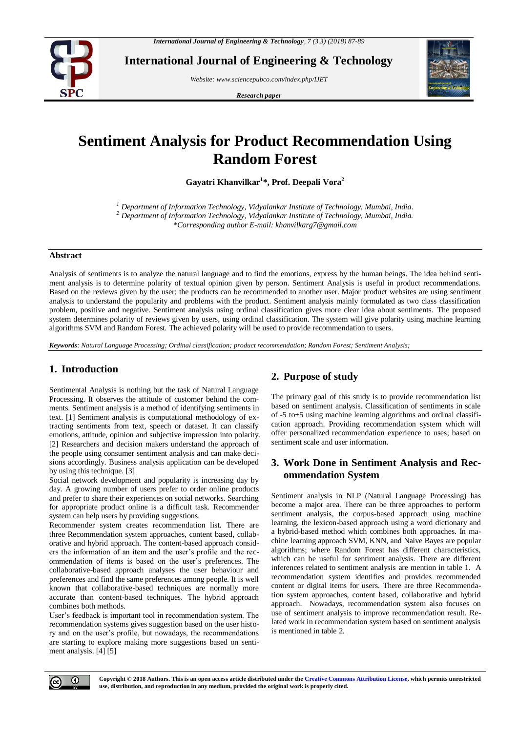

**International Journal of Engineering & Technology**

*Website: www.sciencepubco.com/index.php/IJET* 

*Research paper*



# **Sentiment Analysis for Product Recommendation Using Random Forest**

**Gayatri Khanvilkar<sup>1</sup> \*, Prof. Deepali Vora<sup>2</sup>**

*<sup>1</sup> Department of Information Technology, Vidyalankar Institute of Technology, Mumbai, India. <sup>2</sup> Department of Information Technology, Vidyalankar Institute of Technology, Mumbai, India. \*Corresponding author E-mail: khanvilkarg7@gmail.com*

#### **Abstract**

Analysis of sentiments is to analyze the natural language and to find the emotions, express by the human beings. The idea behind sentiment analysis is to determine polarity of textual opinion given by person. Sentiment Analysis is useful in product recommendations. Based on the reviews given by the user; the products can be recommended to another user. Major product websites are using sentiment analysis to understand the popularity and problems with the product. Sentiment analysis mainly formulated as two class classification problem, positive and negative. Sentiment analysis using ordinal classification gives more clear idea about sentiments. The proposed system determines polarity of reviews given by users, using ordinal classification. The system will give polarity using machine learning algorithms SVM and Random Forest. The achieved polarity will be used to provide recommendation to users.

*Keywords*: *Natural Language Processing; Ordinal classification; product recommendation; Random Forest; Sentiment Analysis;*

## **1. Introduction**

Sentimental Analysis is nothing but the task of Natural Language Processing. It observes the attitude of customer behind the comments. Sentiment analysis is a method of identifying sentiments in text. [1] Sentiment analysis is computational methodology of extracting sentiments from text, speech or dataset. It can classify emotions, attitude, opinion and subjective impression into polarity. [2] Researchers and decision makers understand the approach of the people using consumer sentiment analysis and can make decisions accordingly. Business analysis application can be developed by using this technique. [3]

Social network development and popularity is increasing day by day. A growing number of users prefer to order online products and prefer to share their experiences on social networks. Searching for appropriate product online is a difficult task. Recommender system can help users by providing suggestions.

Recommender system creates recommendation list. There are three Recommendation system approaches, content based, collaborative and hybrid approach. The content-based approach considers the information of an item and the user's profile and the recommendation of items is based on the user's preferences. The collaborative-based approach analyses the user behaviour and preferences and find the same preferences among people. It is well known that collaborative-based techniques are normally more accurate than content-based techniques. The hybrid approach combines both methods.

User's feedback is important tool in recommendation system. The recommendation systems gives suggestion based on the user history and on the user's profile, but nowadays, the recommendations are starting to explore making more suggestions based on sentiment analysis. [4] [5]

# **2. Purpose of study**

The primary goal of this study is to provide recommendation list based on sentiment analysis. Classification of sentiments in scale of -5 to+5 using machine learning algorithms and ordinal classification approach. Providing recommendation system which will offer personalized recommendation experience to uses; based on sentiment scale and user information.

# **3. Work Done in Sentiment Analysis and Recommendation System**

Sentiment analysis in NLP (Natural Language Processing) has become a major area. There can be three approaches to perform sentiment analysis, the corpus-based approach using machine learning, the lexicon-based approach using a word dictionary and a hybrid-based method which combines both approaches. In machine learning approach SVM, KNN, and Naive Bayes are popular algorithms; where Random Forest has different characteristics, which can be useful for sentiment analysis. There are different inferences related to sentiment analysis are mention in table 1. A recommendation system identifies and provides recommended content or digital items for users. There are three Recommendation system approaches, content based, collaborative and hybrid approach. Nowadays, recommendation system also focuses on use of sentiment analysis to improve recommendation result. Related work in recommendation system based on sentiment analysis is mentioned in table 2.

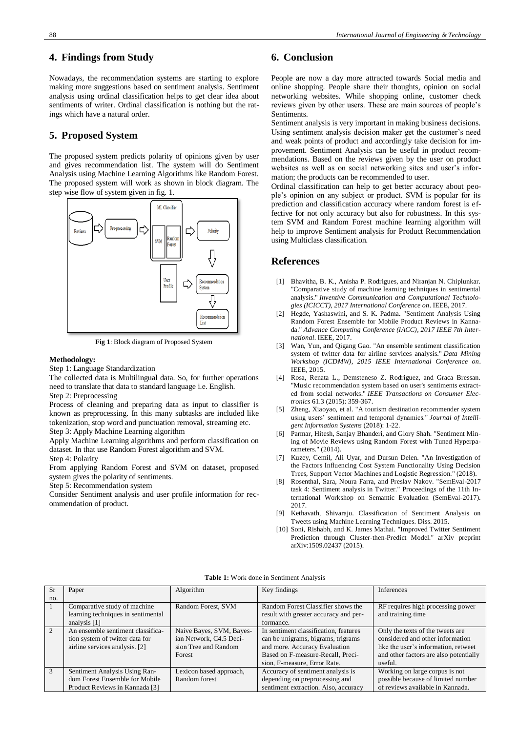Nowadays, the recommendation systems are starting to explore making more suggestions based on sentiment analysis. Sentiment analysis using ordinal classification helps to get clear idea about sentiments of writer. Ordinal classification is nothing but the ratings which have a natural order.

# **5. Proposed System**

The proposed system predicts polarity of opinions given by user and gives recommendation list. The system will do Sentiment Analysis using Machine Learning Algorithms like Random Forest. The proposed system will work as shown in block diagram. The step wise flow of system given in fig. 1.



**Fig 1**: Block diagram of Proposed System

#### **Methodology:**

Step 1: Language Standardization

The collected data is Multilingual data. So, for further operations need to translate that data to standard language i.e. English. Step 2: Preprocessing

Process of cleaning and preparing data as input to classifier is known as preprocessing. In this many subtasks are included like tokenization, stop word and punctuation removal, streaming etc. Step 3: Apply Machine Learning algorithm

Apply Machine Learning algorithms and perform classification on dataset. In that use Random Forest algorithm and SVM. Step 4: Polarity

From applying Random Forest and SVM on dataset, proposed

system gives the polarity of sentiments.

Step 5: Recommendation system

Consider Sentiment analysis and user profile information for recommendation of product.

### **6. Conclusion**

People are now a day more attracted towards Social media and online shopping. People share their thoughts, opinion on social networking websites. While shopping online, customer check reviews given by other users. These are main sources of people's Sentiments.

Sentiment analysis is very important in making business decisions. Using sentiment analysis decision maker get the customer's need and weak points of product and accordingly take decision for improvement. Sentiment Analysis can be useful in product recommendations. Based on the reviews given by the user on product websites as well as on social networking sites and user's information; the products can be recommended to user.

Ordinal classification can help to get better accuracy about people's opinion on any subject or product. SVM is popular for its prediction and classification accuracy where random forest is effective for not only accuracy but also for robustness. In this system SVM and Random Forest machine learning algorithm will help to improve Sentiment analysis for Product Recommendation using Multiclass classification.

### **References**

- [1] Bhavitha, B. K., Anisha P. Rodrigues, and Niranjan N. Chiplunkar. "Comparative study of machine learning techniques in sentimental analysis." *Inventive Communication and Computational Technologies (ICICCT), 2017 International Conference on*. IEEE, 2017.
- [2] Hegde, Yashaswini, and S. K. Padma. "Sentiment Analysis Using Random Forest Ensemble for Mobile Product Reviews in Kannada." *Advance Computing Conference (IACC), 2017 IEEE 7th International*. IEEE, 2017.
- [3] Wan, Yun, and Qigang Gao. "An ensemble sentiment classification system of twitter data for airline services analysis." *Data Mining Workshop (ICDMW), 2015 IEEE International Conference on*. IEEE, 2015.
- Rosa, Renata L., Demsteneso Z. Rodriguez, and Graca Bressan. "Music recommendation system based on user's sentiments extracted from social networks." *IEEE Transactions on Consumer Electronics* 61.3 (2015): 359-367.
- [5] Zheng, Xiaoyao, et al. "A tourism destination recommender system using users' sentiment and temporal dynamics." *Journal of Intelligent Information Systems* (2018): 1-22.
- [6] Parmar, Hitesh, Sanjay Bhanderi, and Glory Shah. "Sentiment Mining of Movie Reviews using Random Forest with Tuned Hyperparameters." (2014).
- [7] Kuzey, Cemil, Ali Uyar, and Dursun Delen. "An Investigation of the Factors Influencing Cost System Functionality Using Decision Trees, Support Vector Machines and Logistic Regression." (2018).
- [8] Rosenthal, Sara, Noura Farra, and Preslav Nakov. "SemEval-2017 task 4: Sentiment analysis in Twitter." Proceedings of the 11th International Workshop on Semantic Evaluation (SemEval-2017). 2017.
- [9] Kethavath, Shivaraju. Classification of Sentiment Analysis on Tweets using Machine Learning Techniques. Diss. 2015.
- [10] Soni, Rishabh, and K. James Mathai. "Improved Twitter Sentiment Prediction through Cluster-then-Predict Model." arXiv preprint arXiv:1509.02437 (2015).

| Table 1: Work done in Sentiment Analysis |  |
|------------------------------------------|--|
|------------------------------------------|--|

| <b>Sr</b>      | Paper                              | Algorithm                | Key findings                          | Inferences                             |
|----------------|------------------------------------|--------------------------|---------------------------------------|----------------------------------------|
| no.            |                                    |                          |                                       |                                        |
|                | Comparative study of machine       | Random Forest, SVM       | Random Forest Classifier shows the    | RF requires high processing power      |
|                | learning techniques in sentimental |                          | result with greater accuracy and per- | and training time                      |
|                | analysis $[1]$                     |                          | formance.                             |                                        |
| $\overline{2}$ | An ensemble sentiment classifica-  | Naive Bayes, SVM, Bayes- | In sentiment classification, features | Only the texts of the tweets are       |
|                | tion system of twitter data for    | ian Network, C4.5 Deci-  | can be unigrams, bigrams, trigrams    | considered and other information       |
|                | airline services analysis. [2]     | sion Tree and Random     | and more. Accuracy Evaluation         | like the user's information, retweet   |
|                |                                    | Forest                   | Based on F-measure-Recall, Preci-     | and other factors are also potentially |
|                |                                    |                          | sion, F-measure, Error Rate.          | useful.                                |
| $\mathbf{3}$   | Sentiment Analysis Using Ran-      | Lexicon based approach,  | Accuracy of sentiment analysis is     | Working on large corpus is not         |
|                | dom Forest Ensemble for Mobile     | Random forest            | depending on preprocessing and        | possible because of limited number     |
|                | Product Reviews in Kannada [3]     |                          | sentiment extraction. Also, accuracy  | of reviews available in Kannada.       |